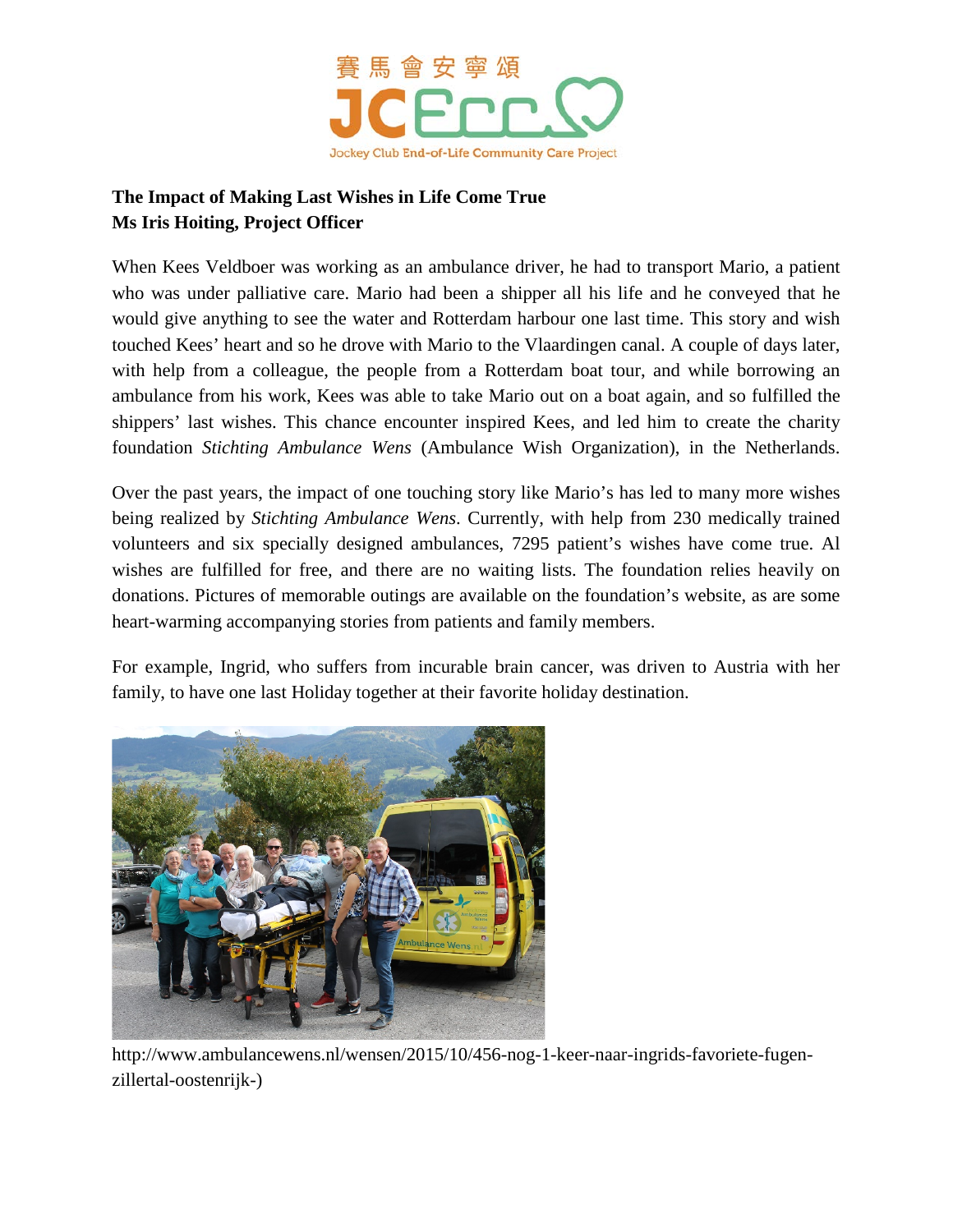

## **The Impact of Making Last Wishes in Life Come True Ms Iris Hoiting, Project Officer**

When Kees Veldboer was working as an ambulance driver, he had to transport Mario, a patient who was under palliative care. Mario had been a shipper all his life and he conveyed that he would give anything to see the water and Rotterdam harbour one last time. This story and wish touched Kees' heart and so he drove with Mario to the Vlaardingen canal. A couple of days later, with help from a colleague, the people from a Rotterdam boat tour, and while borrowing an ambulance from his work, Kees was able to take Mario out on a boat again, and so fulfilled the shippers' last wishes. This chance encounter inspired Kees, and led him to create the charity foundation *Stichting Ambulance Wens* (Ambulance Wish Organization), in the Netherlands.

Over the past years, the impact of one touching story like Mario's has led to many more wishes being realized by *Stichting Ambulance Wens*. Currently, with help from 230 medically trained volunteers and six specially designed ambulances, 7295 patient's wishes have come true. Al wishes are fulfilled for free, and there are no waiting lists. The foundation relies heavily on donations. Pictures of memorable outings are available on the foundation's website, as are some heart-warming accompanying stories from patients and family members.

For example, Ingrid, who suffers from incurable brain cancer, was driven to Austria with her family, to have one last Holiday together at their favorite holiday destination.



http://www.ambulancewens.nl/wensen/2015/10/456-nog-1-keer-naar-ingrids-favoriete-fugenzillertal-oostenrijk-)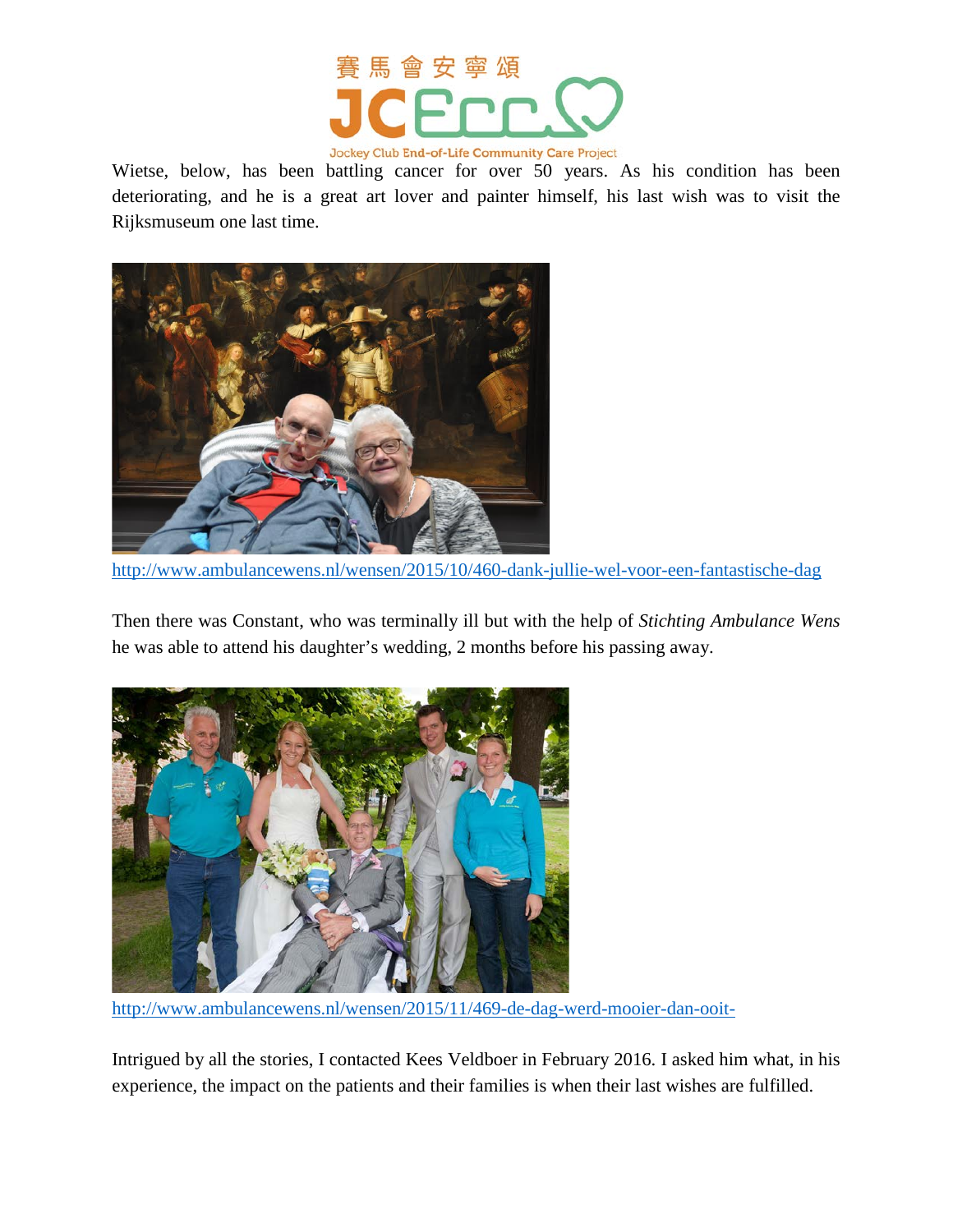

Wietse, below, has been battling cancer for over 50 years. As his condition has been deteriorating, and he is a great art lover and painter himself, his last wish was to visit the Rijksmuseum one last time.



<http://www.ambulancewens.nl/wensen/2015/10/460-dank-jullie-wel-voor-een-fantastische-dag>

Then there was Constant, who was terminally ill but with the help of *Stichting Ambulance Wens* he was able to attend his daughter's wedding, 2 months before his passing away.



<http://www.ambulancewens.nl/wensen/2015/11/469-de-dag-werd-mooier-dan-ooit->

Intrigued by all the stories, I contacted Kees Veldboer in February 2016. I asked him what, in his experience, the impact on the patients and their families is when their last wishes are fulfilled.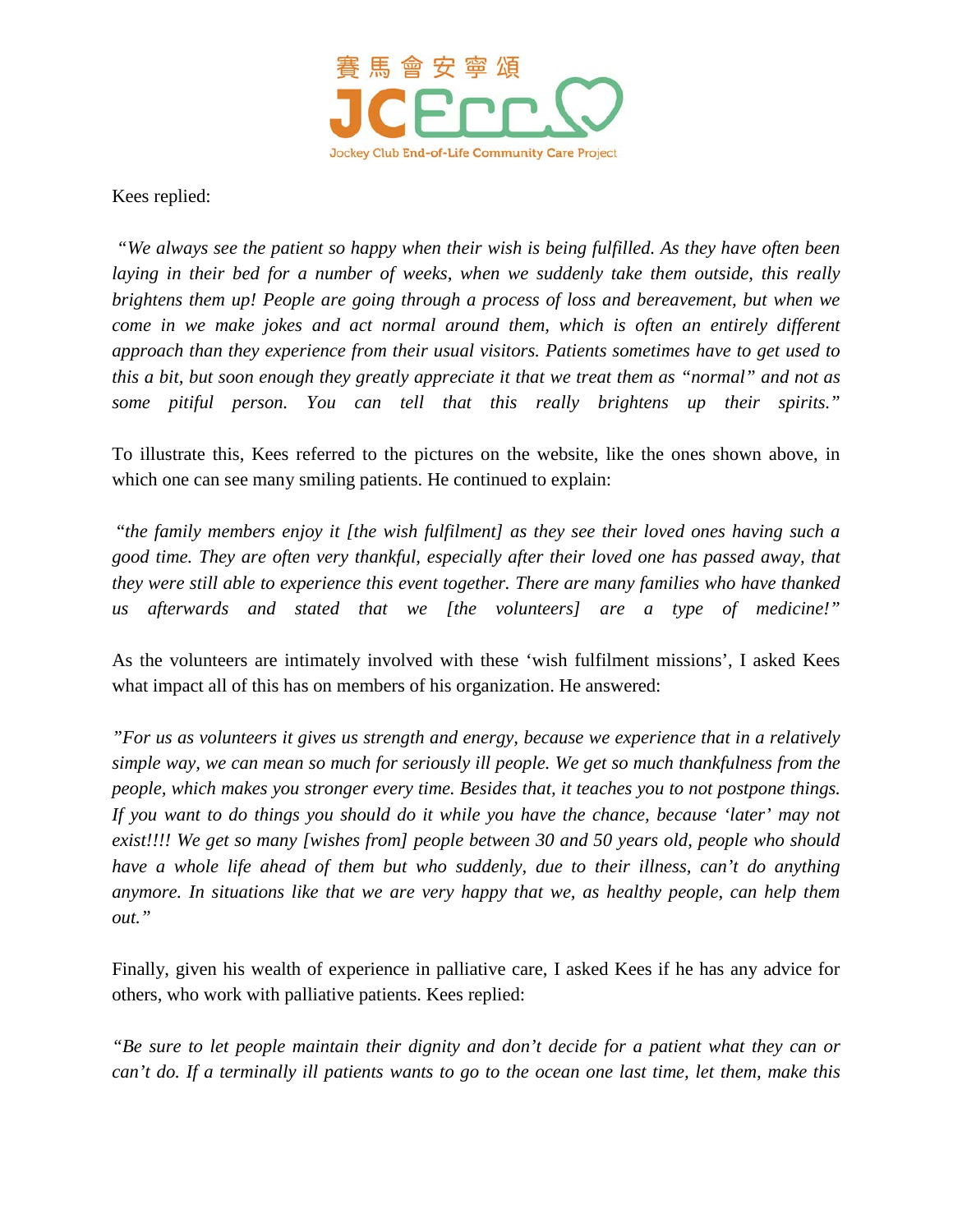

Kees replied:

*"We always see the patient so happy when their wish is being fulfilled. As they have often been laying in their bed for a number of weeks, when we suddenly take them outside, this really brightens them up! People are going through a process of loss and bereavement, but when we come in we make jokes and act normal around them, which is often an entirely different approach than they experience from their usual visitors. Patients sometimes have to get used to this a bit, but soon enough they greatly appreciate it that we treat them as "normal" and not as some pitiful person. You can tell that this really brightens up their spirits."*

To illustrate this, Kees referred to the pictures on the website, like the ones shown above, in which one can see many smiling patients. He continued to explain:

"*the family members enjoy it [the wish fulfilment] as they see their loved ones having such a good time. They are often very thankful, especially after their loved one has passed away, that they were still able to experience this event together. There are many families who have thanked us afterwards and stated that we [the volunteers] are a type of medicine!"*

As the volunteers are intimately involved with these 'wish fulfilment missions', I asked Kees what impact all of this has on members of his organization. He answered:

*"For us as volunteers it gives us strength and energy, because we experience that in a relatively simple way, we can mean so much for seriously ill people. We get so much thankfulness from the people, which makes you stronger every time. Besides that, it teaches you to not postpone things. If you want to do things you should do it while you have the chance, because 'later' may not exist!!!! We get so many [wishes from] people between 30 and 50 years old, people who should have a whole life ahead of them but who suddenly, due to their illness, can't do anything anymore. In situations like that we are very happy that we, as healthy people, can help them out."*

Finally, given his wealth of experience in palliative care, I asked Kees if he has any advice for others, who work with palliative patients. Kees replied:

*"Be sure to let people maintain their dignity and don't decide for a patient what they can or can't do. If a terminally ill patients wants to go to the ocean one last time, let them, make this*